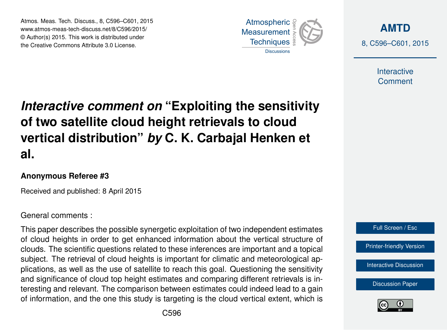Atmos. Meas. Tech. Discuss., 8, C596–C601, 2015 www.atmos-meas-tech-discuss.net/8/C596/2015/ © Author(s) 2015. This work is distributed under the Creative Commons Attribute 3.0 License.



**[AMTD](http://www.atmos-meas-tech-discuss.net)** 8, C596–C601, 2015

> Interactive **Comment**

# *Interactive comment on* **"Exploiting the sensitivity of two satellite cloud height retrievals to cloud vertical distribution"** *by* **C. K. Carbajal Henken et al.**

### **Anonymous Referee #3**

Received and published: 8 April 2015

## General comments :

This paper describes the possible synergetic exploitation of two independent estimates of cloud heights in order to get enhanced information about the vertical structure of clouds. The scientific questions related to these inferences are important and a topical subject. The retrieval of cloud heights is important for climatic and meteorological applications, as well as the use of satellite to reach this goal. Questioning the sensitivity and significance of cloud top height estimates and comparing different retrievals is interesting and relevant. The comparison between estimates could indeed lead to a gain of information, and the one this study is targeting is the cloud vertical extent, which is



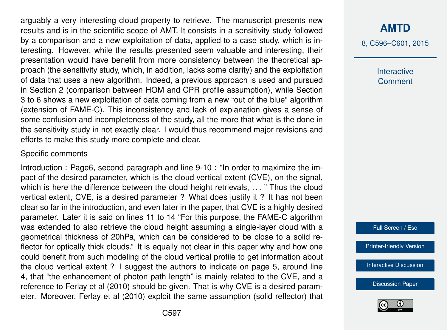arguably a very interesting cloud property to retrieve. The manuscript presents new results and is in the scientific scope of AMT. It consists in a sensitivity study followed by a comparison and a new exploitation of data, applied to a case study, which is interesting. However, while the results presented seem valuable and interesting, their presentation would have benefit from more consistency between the theoretical approach (the sensitivity study, which, in addition, lacks some clarity) and the exploitation of data that uses a new algorithm. Indeed, a previous approach is used and pursued in Section 2 (comparison between HOM and CPR profile assumption), while Section 3 to 6 shows a new exploitation of data coming from a new "out of the blue" algorithm (extension of FAME-C). This inconsistency and lack of explanation gives a sense of some confusion and incompleteness of the study, all the more that what is the done in the sensitivity study in not exactly clear. I would thus recommend major revisions and efforts to make this study more complete and clear.

#### Specific comments

Introduction : Page6, second paragraph and line 9-10 : "In order to maximize the impact of the desired parameter, which is the cloud vertical extent (CVE), on the signal, which is here the difference between the cloud height retrievals, ... " Thus the cloud vertical extent, CVE, is a desired parameter ? What does justify it ? It has not been clear so far in the introduction, and even later in the paper, that CVE is a highly desired parameter. Later it is said on lines 11 to 14 "For this purpose, the FAME-C algorithm was extended to also retrieve the cloud height assuming a single-layer cloud with a geometrical thickness of 20hPa, which can be considered to be close to a solid reflector for optically thick clouds." It is equally not clear in this paper why and how one could benefit from such modeling of the cloud vertical profile to get information about the cloud vertical extent ? I suggest the authors to indicate on page 5, around line 4, that "the enhancement of photon path length" is mainly related to the CVE, and a reference to Ferlay et al (2010) should be given. That is why CVE is a desired parameter. Moreover, Ferlay et al (2010) exploit the same assumption (solid reflector) that

## **[AMTD](http://www.atmos-meas-tech-discuss.net)**

8, C596–C601, 2015

Interactive **Comment** 

Full Screen / Esc

[Printer-friendly Version](http://www.atmos-meas-tech-discuss.net/8/C596/2015/amtd-8-C596-2015-print.pdf)

[Interactive Discussion](http://www.atmos-meas-tech-discuss.net/8/2623/2015/amtd-8-2623-2015-discussion.html)

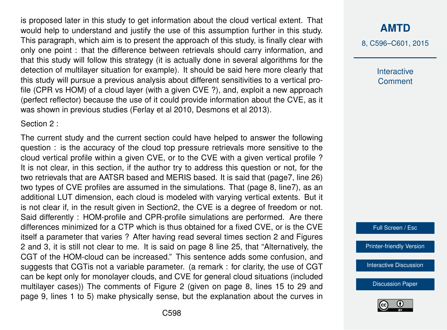is proposed later in this study to get information about the cloud vertical extent. That would help to understand and justify the use of this assumption further in this study. This paragraph, which aim is to present the approach of this study, is finally clear with only one point : that the difference between retrievals should carry information, and that this study will follow this strategy (it is actually done in several algorithms for the detection of multilayer situation for example). It should be said here more clearly that this study will pursue a previous analysis about different sensitivities to a vertical profile (CPR vs HOM) of a cloud layer (with a given CVE ?), and, exploit a new approach (perfect reflector) because the use of it could provide information about the CVE, as it was shown in previous studies (Ferlay et al 2010, Desmons et al 2013).

Section 2 :

The current study and the current section could have helped to answer the following question : is the accuracy of the cloud top pressure retrievals more sensitive to the cloud vertical profile within a given CVE, or to the CVE with a given vertical profile ? It is not clear, in this section, if the author try to address this question or not, for the two retrievals that are AATSR based and MERIS based. It is said that (page7, line 26) two types of CVE profiles are assumed in the simulations. That (page 8, line7), as an additional LUT dimension, each cloud is modeled with varying vertical extents. But it is not clear if, in the result given in Section2, the CVE is a degree of freedom or not. Said differently : HOM-profile and CPR-profile simulations are performed. Are there differences minimized for a CTP which is thus obtained for a fixed CVE, or is the CVE itself a parameter that varies ? After having read several times section 2 and Figures 2 and 3, it is still not clear to me. It is said on page 8 line 25, that "Alternatively, the CGT of the HOM-cloud can be increased." This sentence adds some confusion, and suggests that CGTis not a variable parameter. (a remark : for clarity, the use of CGT can be kept only for monolayer clouds, and CVE for general cloud situations (included multilayer cases)) The comments of Figure 2 (given on page 8, lines 15 to 29 and page 9, lines 1 to 5) make physically sense, but the explanation about the curves in

# **[AMTD](http://www.atmos-meas-tech-discuss.net)**

8, C596–C601, 2015

Interactive **Comment** 

Full Screen / Esc

[Printer-friendly Version](http://www.atmos-meas-tech-discuss.net/8/C596/2015/amtd-8-C596-2015-print.pdf)

[Interactive Discussion](http://www.atmos-meas-tech-discuss.net/8/2623/2015/amtd-8-2623-2015-discussion.html)

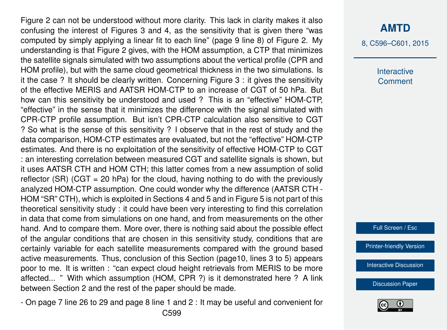Figure 2 can not be understood without more clarity. This lack in clarity makes it also confusing the interest of Figures 3 and 4, as the sensitivity that is given there "was computed by simply applying a linear fit to each line" (page 9 line 8) of Figure 2. My understanding is that Figure 2 gives, with the HOM assumption, a CTP that minimizes the satellite signals simulated with two assumptions about the vertical profile (CPR and HOM profile), but with the same cloud geometrical thickness in the two simulations. Is it the case ? It should be clearly written. Concerning Figure 3 : it gives the sensitivity of the effective MERIS and AATSR HOM-CTP to an increase of CGT of 50 hPa. But how can this sensitivity be understood and used ? This is an "effective" HOM-CTP, "effective" in the sense that it minimizes the difference with the signal simulated with CPR-CTP profile assumption. But isn't CPR-CTP calculation also sensitive to CGT ? So what is the sense of this sensitivity ? I observe that in the rest of study and the data comparison, HOM-CTP estimates are evaluated, but not the "effective" HOM-CTP estimates. And there is no exploitation of the sensitivity of effective HOM-CTP to CGT : an interesting correlation between measured CGT and satellite signals is shown, but it uses AATSR CTH and HOM CTH; this latter comes from a new assumption of solid reflector (SR) (CGT = 20 hPa) for the cloud, having nothing to do with the previously analyzed HOM-CTP assumption. One could wonder why the difference (AATSR CTH - HOM "SR" CTH), which is exploited in Sections 4 and 5 and in Figure 5 is not part of this theoretical sensitivity study : it could have been very interesting to find this correlation in data that come from simulations on one hand, and from measurements on the other hand. And to compare them. More over, there is nothing said about the possible effect of the angular conditions that are chosen in this sensitivity study, conditions that are certainly variable for each satellite measurements compared with the ground based active measurements. Thus, conclusion of this Section (page10, lines 3 to 5) appears poor to me. It is written : "can expect cloud height retrievals from MERIS to be more affected... " With which assumption (HOM, CPR ?) is it demonstrated here ? A link between Section 2 and the rest of the paper should be made.

- On page 7 line 26 to 29 and page 8 line 1 and 2 : It may be useful and convenient for C599

8, C596–C601, 2015

**Interactive Comment** 

Full Screen / Esc

[Printer-friendly Version](http://www.atmos-meas-tech-discuss.net/8/C596/2015/amtd-8-C596-2015-print.pdf)

[Interactive Discussion](http://www.atmos-meas-tech-discuss.net/8/2623/2015/amtd-8-2623-2015-discussion.html)

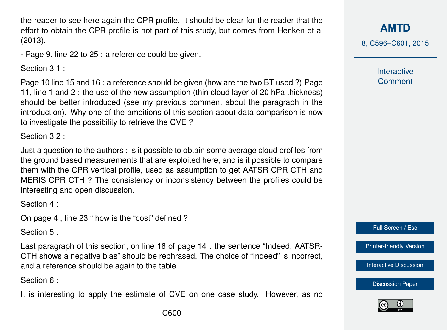the reader to see here again the CPR profile. It should be clear for the reader that the effort to obtain the CPR profile is not part of this study, but comes from Henken et al (2013).

- Page 9, line 22 to 25 : a reference could be given.

Section 3.1 :

Page 10 line 15 and 16 : a reference should be given (how are the two BT used ?) Page 11, line 1 and 2 : the use of the new assumption (thin cloud layer of 20 hPa thickness) should be better introduced (see my previous comment about the paragraph in the introduction). Why one of the ambitions of this section about data comparison is now to investigate the possibility to retrieve the CVE ?

Section 3.2 ·

Just a question to the authors : is it possible to obtain some average cloud profiles from the ground based measurements that are exploited here, and is it possible to compare them with the CPR vertical profile, used as assumption to get AATSR CPR CTH and MERIS CPR CTH ? The consistency or inconsistency between the profiles could be interesting and open discussion.

Section 4 :

On page 4 , line 23 " how is the "cost" defined ?

Section 5 :

Last paragraph of this section, on line 16 of page 14 : the sentence "Indeed, AATSR-CTH shows a negative bias" should be rephrased. The choice of "Indeed" is incorrect, and a reference should be again to the table.

Section 6 :

It is interesting to apply the estimate of CVE on one case study. However, as no

**[AMTD](http://www.atmos-meas-tech-discuss.net)**

8, C596–C601, 2015

Interactive **Comment** 

Full Screen / Esc

[Printer-friendly Version](http://www.atmos-meas-tech-discuss.net/8/C596/2015/amtd-8-C596-2015-print.pdf)

[Interactive Discussion](http://www.atmos-meas-tech-discuss.net/8/2623/2015/amtd-8-2623-2015-discussion.html)